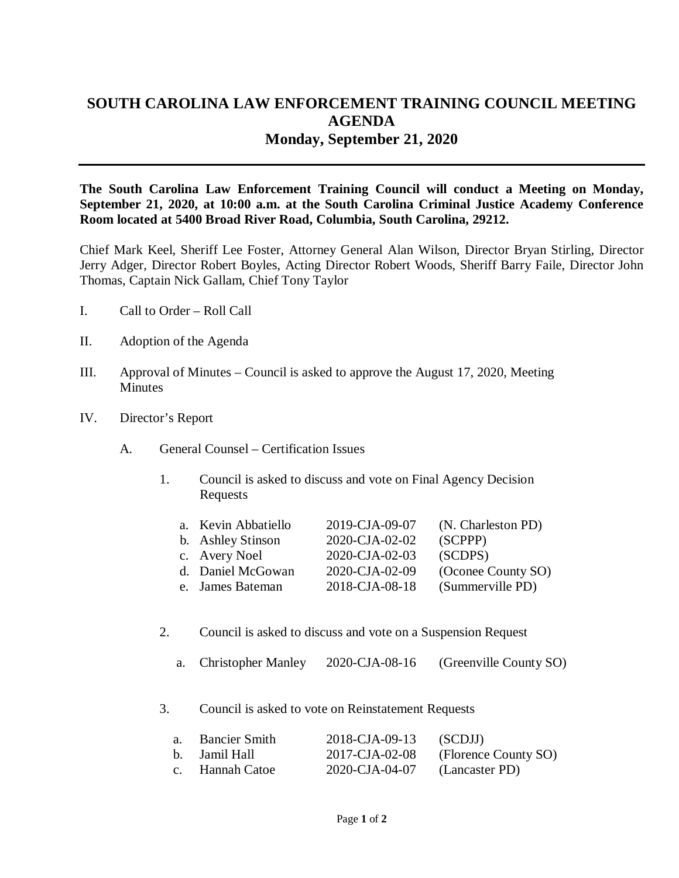## **SOUTH CAROLINA LAW ENFORCEMENT TRAINING COUNCIL MEETING AGENDA Monday, September 21, 2020**

**The South Carolina Law Enforcement Training Council will conduct a Meeting on Monday, September 21, 2020, at 10:00 a.m. at the South Carolina Criminal Justice Academy Conference Room located at 5400 Broad River Road, Columbia, South Carolina, 29212.** 

Chief Mark Keel, Sheriff Lee Foster, Attorney General Alan Wilson, Director Bryan Stirling, Director Jerry Adger, Director Robert Boyles, Acting Director Robert Woods, Sheriff Barry Faile, Director John Thomas, Captain Nick Gallam, Chief Tony Taylor

- I. Call to Order Roll Call
- II. Adoption of the Agenda
- III. Approval of Minutes Council is asked to approve the August 17, 2020, Meeting **Minutes**
- IV. Director's Report
	- A. General Counsel Certification Issues
		- 1. Council is asked to discuss and vote on Final Agency Decision Requests

| a. Kevin Abbatiello | 2019-CJA-09-07 | (N. Charleston PD) |
|---------------------|----------------|--------------------|
| b. Ashley Stinson   | 2020-CJA-02-02 | (SCPPP)            |
| c. Avery Noel       | 2020-CJA-02-03 | (SCDPS)            |
| d. Daniel McGowan   | 2020-CJA-02-09 | (Oconee County SO) |
| e. James Bateman    | 2018-CJA-08-18 | (Summerville PD)   |

- 2. Council is asked to discuss and vote on a Suspension Request
	- a. Christopher Manley 2020-CJA-08-16 (Greenville County SO)
- 3. Council is asked to vote on Reinstatement Requests

| a. Bancier Smith | 2018-CJA-09-13 (SCDJJ)                 |                                     |
|------------------|----------------------------------------|-------------------------------------|
| b. Jamil Hall    |                                        | 2017-CJA-02-08 (Florence County SO) |
| c. Hannah Catoe  | $2020\text{-CJA-04-07}$ (Lancaster PD) |                                     |